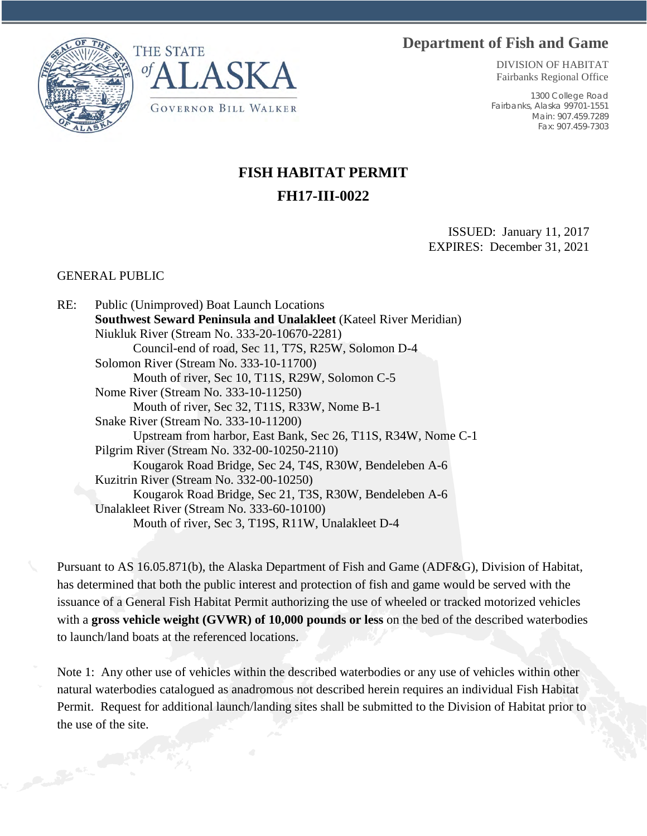## **Department of Fish and Game**





DIVISION OF HABITAT Fairbanks Regional Office

1300 College Road Fairbanks, Alaska 99701-1551 Main: 907.459.7289 Fax: 907.459-7303

## **FISH HABITAT PERMIT FH17-III-0022**

ISSUED: January 11, 2017 EXPIRES: December 31, 2021

## GENERAL PUBLIC

RE: Public (Unimproved) Boat Launch Locations **Southwest Seward Peninsula and Unalakleet** (Kateel River Meridian) Niukluk River (Stream No. 333-20-10670-2281) Council-end of road, Sec 11, T7S, R25W, Solomon D-4 Solomon River (Stream No. 333-10-11700) Mouth of river, Sec 10, T11S, R29W, Solomon C-5 Nome River (Stream No. 333-10-11250) Mouth of river, Sec 32, T11S, R33W, Nome B-1 Snake River (Stream No. 333-10-11200) Upstream from harbor, East Bank, Sec 26, T11S, R34W, Nome C-1 Pilgrim River (Stream No. 332-00-10250-2110) Kougarok Road Bridge, Sec 24, T4S, R30W, Bendeleben A-6 Kuzitrin River (Stream No. 332-00-10250) Kougarok Road Bridge, Sec 21, T3S, R30W, Bendeleben A-6 Unalakleet River (Stream No. 333-60-10100) Mouth of river, Sec 3, T19S, R11W, Unalakleet D-4

Pursuant to AS 16.05.871(b), the Alaska Department of Fish and Game (ADF&G), Division of Habitat, has determined that both the public interest and protection of fish and game would be served with the issuance of a General Fish Habitat Permit authorizing the use of wheeled or tracked motorized vehicles with a **gross vehicle weight (GVWR) of 10,000 pounds or less** on the bed of the described waterbodies to launch/land boats at the referenced locations.

Note 1: Any other use of vehicles within the described waterbodies or any use of vehicles within other natural waterbodies catalogued as anadromous not described herein requires an individual Fish Habitat Permit. Request for additional launch/landing sites shall be submitted to the Division of Habitat prior to the use of the site.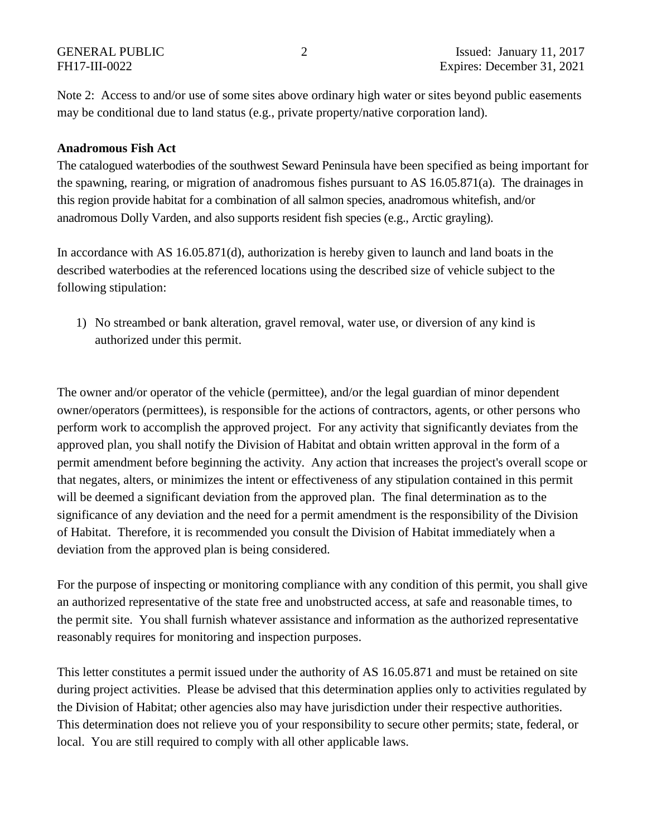Note 2: Access to and/or use of some sites above ordinary high water or sites beyond public easements may be conditional due to land status (e.g., private property/native corporation land).

## **Anadromous Fish Act**

The catalogued waterbodies of the southwest Seward Peninsula have been specified as being important for the spawning, rearing, or migration of anadromous fishes pursuant to AS 16.05.871(a). The drainages in this region provide habitat for a combination of all salmon species, anadromous whitefish, and/or anadromous Dolly Varden, and also supports resident fish species (e.g., Arctic grayling).

In accordance with AS 16.05.871(d), authorization is hereby given to launch and land boats in the described waterbodies at the referenced locations using the described size of vehicle subject to the following stipulation:

1) No streambed or bank alteration, gravel removal, water use, or diversion of any kind is authorized under this permit.

The owner and/or operator of the vehicle (permittee), and/or the legal guardian of minor dependent owner/operators (permittees), is responsible for the actions of contractors, agents, or other persons who perform work to accomplish the approved project. For any activity that significantly deviates from the approved plan, you shall notify the Division of Habitat and obtain written approval in the form of a permit amendment before beginning the activity. Any action that increases the project's overall scope or that negates, alters, or minimizes the intent or effectiveness of any stipulation contained in this permit will be deemed a significant deviation from the approved plan. The final determination as to the significance of any deviation and the need for a permit amendment is the responsibility of the Division of Habitat. Therefore, it is recommended you consult the Division of Habitat immediately when a deviation from the approved plan is being considered.

For the purpose of inspecting or monitoring compliance with any condition of this permit, you shall give an authorized representative of the state free and unobstructed access, at safe and reasonable times, to the permit site. You shall furnish whatever assistance and information as the authorized representative reasonably requires for monitoring and inspection purposes.

This letter constitutes a permit issued under the authority of AS 16.05.871 and must be retained on site during project activities. Please be advised that this determination applies only to activities regulated by the Division of Habitat; other agencies also may have jurisdiction under their respective authorities. This determination does not relieve you of your responsibility to secure other permits; state, federal, or local. You are still required to comply with all other applicable laws.